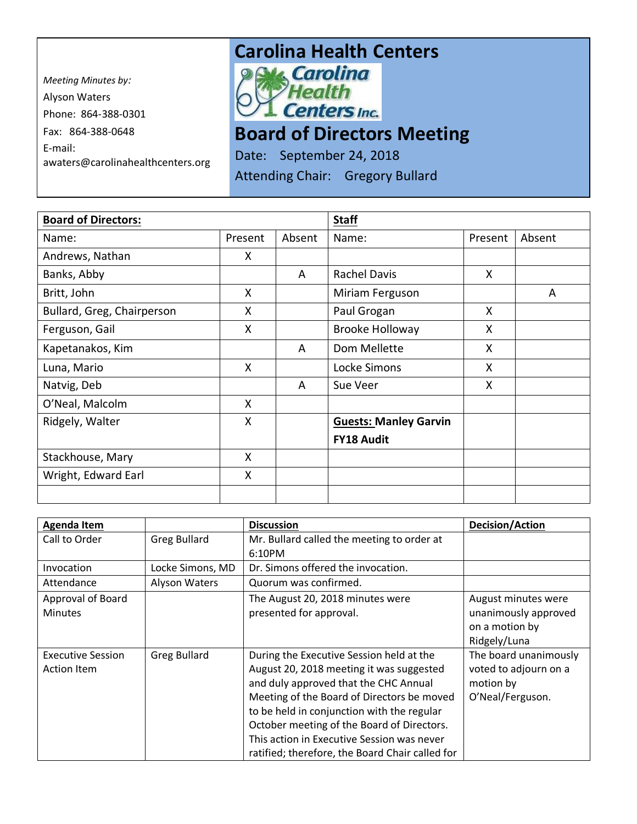*Meeting Minutes by:*  Alyson Waters Phone: 864-388-0301 Fax: 864-388-0648 E-mail: awaters@carolinahealthcenters.org

## **Carolina Health Centers**<br> **Pows Carolina**



## **Board of Directors Meeting**

Date: September 24, 2018

Attending Chair: Gregory Bullard

| <b>Board of Directors:</b> |         | <b>Staff</b> |                              |         |        |
|----------------------------|---------|--------------|------------------------------|---------|--------|
| Name:                      | Present | Absent       | Name:                        | Present | Absent |
| Andrews, Nathan            | X       |              |                              |         |        |
| Banks, Abby                |         | A            | <b>Rachel Davis</b>          | X       |        |
| Britt, John                | X       |              | Miriam Ferguson              |         | A      |
| Bullard, Greg, Chairperson | X       |              | Paul Grogan                  | X       |        |
| Ferguson, Gail             | X       |              | <b>Brooke Holloway</b>       | X       |        |
| Kapetanakos, Kim           |         | A            | Dom Mellette                 | X       |        |
| Luna, Mario                | X       |              | Locke Simons                 | X       |        |
| Natvig, Deb                |         | A            | Sue Veer                     | X       |        |
| O'Neal, Malcolm            | X       |              |                              |         |        |
| Ridgely, Walter            | X       |              | <b>Guests: Manley Garvin</b> |         |        |
|                            |         |              | <b>FY18 Audit</b>            |         |        |
| Stackhouse, Mary           | X       |              |                              |         |        |
| Wright, Edward Earl        | X       |              |                              |         |        |
|                            |         |              |                              |         |        |

| <b>Agenda Item</b>       |                     | <b>Discussion</b>                               | <b>Decision/Action</b> |
|--------------------------|---------------------|-------------------------------------------------|------------------------|
| Call to Order            | <b>Greg Bullard</b> | Mr. Bullard called the meeting to order at      |                        |
|                          |                     | 6:10PM                                          |                        |
| Invocation               | Locke Simons, MD    | Dr. Simons offered the invocation.              |                        |
| Attendance               | Alyson Waters       | Quorum was confirmed.                           |                        |
| Approval of Board        |                     | The August 20, 2018 minutes were                | August minutes were    |
| <b>Minutes</b>           |                     | presented for approval.                         | unanimously approved   |
|                          |                     |                                                 | on a motion by         |
|                          |                     |                                                 | Ridgely/Luna           |
| <b>Executive Session</b> | <b>Greg Bullard</b> | During the Executive Session held at the        | The board unanimously  |
| Action Item              |                     | August 20, 2018 meeting it was suggested        | voted to adjourn on a  |
|                          |                     | and duly approved that the CHC Annual           | motion by              |
|                          |                     | Meeting of the Board of Directors be moved      | O'Neal/Ferguson.       |
|                          |                     | to be held in conjunction with the regular      |                        |
|                          |                     | October meeting of the Board of Directors.      |                        |
|                          |                     | This action in Executive Session was never      |                        |
|                          |                     | ratified; therefore, the Board Chair called for |                        |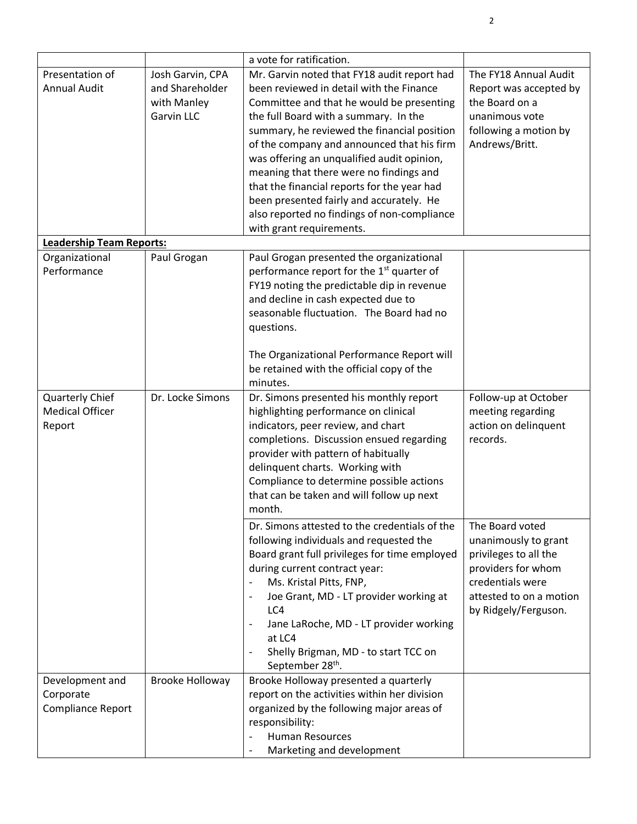|                                 |                        | a vote for ratification.                                                        |                                  |
|---------------------------------|------------------------|---------------------------------------------------------------------------------|----------------------------------|
| Presentation of                 | Josh Garvin, CPA       | Mr. Garvin noted that FY18 audit report had                                     | The FY18 Annual Audit            |
| <b>Annual Audit</b>             | and Shareholder        | been reviewed in detail with the Finance                                        | Report was accepted by           |
|                                 | with Manley            | Committee and that he would be presenting                                       | the Board on a                   |
|                                 | <b>Garvin LLC</b>      | the full Board with a summary. In the                                           | unanimous vote                   |
|                                 |                        | summary, he reviewed the financial position                                     | following a motion by            |
|                                 |                        | of the company and announced that his firm                                      | Andrews/Britt.                   |
|                                 |                        | was offering an unqualified audit opinion,                                      |                                  |
|                                 |                        | meaning that there were no findings and                                         |                                  |
|                                 |                        | that the financial reports for the year had                                     |                                  |
|                                 |                        | been presented fairly and accurately. He                                        |                                  |
|                                 |                        | also reported no findings of non-compliance                                     |                                  |
|                                 |                        | with grant requirements.                                                        |                                  |
| <b>Leadership Team Reports:</b> |                        |                                                                                 |                                  |
| Organizational                  | Paul Grogan            | Paul Grogan presented the organizational                                        |                                  |
| Performance                     |                        | performance report for the 1 <sup>st</sup> quarter of                           |                                  |
|                                 |                        | FY19 noting the predictable dip in revenue                                      |                                  |
|                                 |                        | and decline in cash expected due to                                             |                                  |
|                                 |                        | seasonable fluctuation. The Board had no                                        |                                  |
|                                 |                        | questions.                                                                      |                                  |
|                                 |                        |                                                                                 |                                  |
|                                 |                        | The Organizational Performance Report will                                      |                                  |
|                                 |                        | be retained with the official copy of the                                       |                                  |
|                                 |                        | minutes.                                                                        |                                  |
| Quarterly Chief                 | Dr. Locke Simons       | Dr. Simons presented his monthly report                                         | Follow-up at October             |
| <b>Medical Officer</b>          |                        | highlighting performance on clinical                                            | meeting regarding                |
| Report                          |                        | indicators, peer review, and chart                                              | action on delinquent<br>records. |
|                                 |                        | completions. Discussion ensued regarding<br>provider with pattern of habitually |                                  |
|                                 |                        | delinquent charts. Working with                                                 |                                  |
|                                 |                        | Compliance to determine possible actions                                        |                                  |
|                                 |                        | that can be taken and will follow up next                                       |                                  |
|                                 |                        | month.                                                                          |                                  |
|                                 |                        | Dr. Simons attested to the credentials of the                                   | The Board voted                  |
|                                 |                        | following individuals and requested the                                         | unanimously to grant             |
|                                 |                        | Board grant full privileges for time employed                                   | privileges to all the            |
|                                 |                        | during current contract year:                                                   | providers for whom               |
|                                 |                        | Ms. Kristal Pitts, FNP,                                                         | credentials were                 |
|                                 |                        | Joe Grant, MD - LT provider working at                                          | attested to on a motion          |
|                                 |                        | LC4                                                                             | by Ridgely/Ferguson.             |
|                                 |                        | Jane LaRoche, MD - LT provider working                                          |                                  |
|                                 |                        | at LC4                                                                          |                                  |
|                                 |                        | Shelly Brigman, MD - to start TCC on                                            |                                  |
|                                 |                        | September 28 <sup>th</sup> .                                                    |                                  |
| Development and                 | <b>Brooke Holloway</b> | Brooke Holloway presented a quarterly                                           |                                  |
| Corporate                       |                        | report on the activities within her division                                    |                                  |
| Compliance Report               |                        | organized by the following major areas of                                       |                                  |
|                                 |                        | responsibility:                                                                 |                                  |
|                                 |                        | <b>Human Resources</b>                                                          |                                  |
|                                 |                        | Marketing and development                                                       |                                  |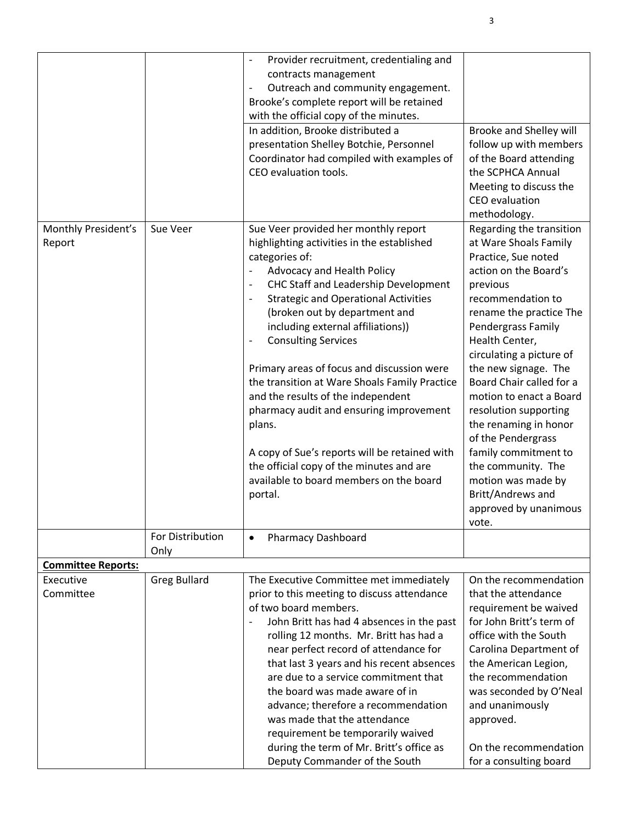|                           |                          | Provider recruitment, credentialing and<br>$\overline{\phantom{a}}$                |                                                |
|---------------------------|--------------------------|------------------------------------------------------------------------------------|------------------------------------------------|
|                           |                          | contracts management                                                               |                                                |
|                           |                          | Outreach and community engagement.<br>$\qquad \qquad -$                            |                                                |
|                           |                          | Brooke's complete report will be retained                                          |                                                |
|                           |                          | with the official copy of the minutes.                                             |                                                |
|                           |                          | In addition, Brooke distributed a                                                  | Brooke and Shelley will                        |
|                           |                          | presentation Shelley Botchie, Personnel                                            | follow up with members                         |
|                           |                          | Coordinator had compiled with examples of                                          | of the Board attending                         |
|                           |                          | CEO evaluation tools.                                                              | the SCPHCA Annual                              |
|                           |                          |                                                                                    | Meeting to discuss the                         |
|                           |                          |                                                                                    | CEO evaluation                                 |
|                           |                          |                                                                                    | methodology.                                   |
| Monthly President's       | Sue Veer                 | Sue Veer provided her monthly report                                               | Regarding the transition                       |
| Report                    |                          | highlighting activities in the established                                         | at Ware Shoals Family                          |
|                           |                          | categories of:                                                                     | Practice, Sue noted                            |
|                           |                          | Advocacy and Health Policy                                                         | action on the Board's                          |
|                           |                          | CHC Staff and Leadership Development                                               | previous                                       |
|                           |                          | <b>Strategic and Operational Activities</b>                                        | recommendation to                              |
|                           |                          | (broken out by department and                                                      | rename the practice The                        |
|                           |                          | including external affiliations))                                                  | Pendergrass Family                             |
|                           |                          | <b>Consulting Services</b>                                                         | Health Center,                                 |
|                           |                          |                                                                                    | circulating a picture of                       |
|                           |                          | Primary areas of focus and discussion were                                         | the new signage. The                           |
|                           |                          | the transition at Ware Shoals Family Practice                                      | Board Chair called for a                       |
|                           |                          | and the results of the independent                                                 | motion to enact a Board                        |
|                           |                          | pharmacy audit and ensuring improvement                                            | resolution supporting                          |
|                           |                          | plans.                                                                             | the renaming in honor                          |
|                           |                          |                                                                                    | of the Pendergrass                             |
|                           |                          | A copy of Sue's reports will be retained with                                      | family commitment to                           |
|                           |                          | the official copy of the minutes and are                                           | the community. The                             |
|                           |                          | available to board members on the board                                            | motion was made by                             |
|                           |                          |                                                                                    | Britt/Andrews and                              |
|                           |                          | portal.                                                                            |                                                |
|                           |                          |                                                                                    | approved by unanimous                          |
|                           |                          |                                                                                    | vote.                                          |
|                           | For Distribution<br>Only | <b>Pharmacy Dashboard</b><br>$\bullet$                                             |                                                |
| <b>Committee Reports:</b> |                          |                                                                                    |                                                |
| Executive                 | <b>Greg Bullard</b>      | The Executive Committee met immediately                                            | On the recommendation                          |
| Committee                 |                          | prior to this meeting to discuss attendance                                        | that the attendance                            |
|                           |                          | of two board members.                                                              | requirement be waived                          |
|                           |                          | John Britt has had 4 absences in the past                                          | for John Britt's term of                       |
|                           |                          | rolling 12 months. Mr. Britt has had a                                             | office with the South                          |
|                           |                          |                                                                                    |                                                |
|                           |                          | near perfect record of attendance for<br>that last 3 years and his recent absences | Carolina Department of<br>the American Legion, |
|                           |                          | are due to a service commitment that                                               | the recommendation                             |
|                           |                          | the board was made aware of in                                                     | was seconded by O'Neal                         |
|                           |                          | advance; therefore a recommendation                                                | and unanimously                                |
|                           |                          | was made that the attendance                                                       |                                                |
|                           |                          |                                                                                    | approved.                                      |
|                           |                          | requirement be temporarily waived<br>during the term of Mr. Britt's office as      | On the recommendation                          |
|                           |                          | Deputy Commander of the South                                                      | for a consulting board                         |
|                           |                          |                                                                                    |                                                |

3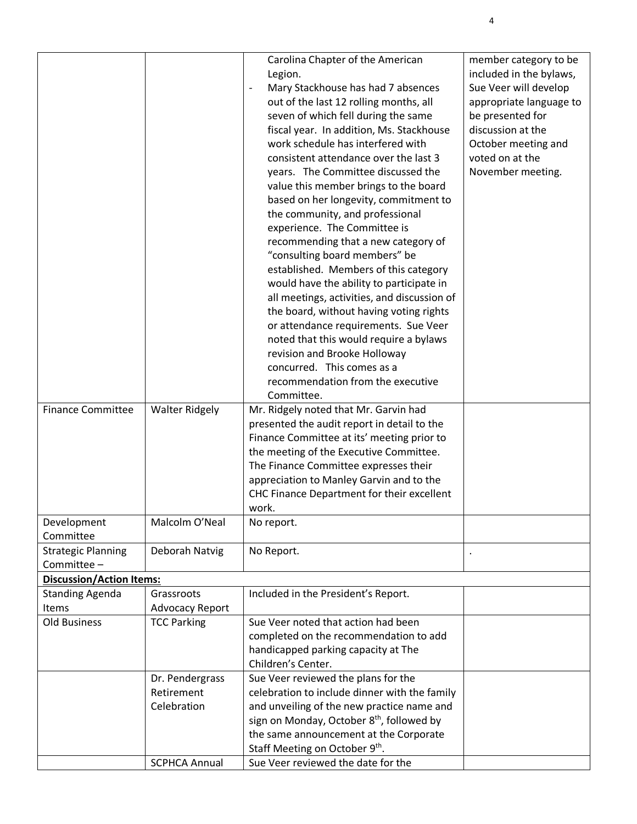| <b>Finance Committee</b>                | <b>Walter Ridgely</b>  | Carolina Chapter of the American<br>Legion.<br>Mary Stackhouse has had 7 absences<br>out of the last 12 rolling months, all<br>seven of which fell during the same<br>fiscal year. In addition, Ms. Stackhouse<br>work schedule has interfered with<br>consistent attendance over the last 3<br>years. The Committee discussed the<br>value this member brings to the board<br>based on her longevity, commitment to<br>the community, and professional<br>experience. The Committee is<br>recommending that a new category of<br>"consulting board members" be<br>established. Members of this category<br>would have the ability to participate in<br>all meetings, activities, and discussion of<br>the board, without having voting rights<br>or attendance requirements. Sue Veer<br>noted that this would require a bylaws<br>revision and Brooke Holloway<br>concurred. This comes as a<br>recommendation from the executive<br>Committee.<br>Mr. Ridgely noted that Mr. Garvin had<br>presented the audit report in detail to the | member category to be<br>included in the bylaws,<br>Sue Veer will develop<br>appropriate language to<br>be presented for<br>discussion at the<br>October meeting and<br>voted on at the<br>November meeting. |
|-----------------------------------------|------------------------|-------------------------------------------------------------------------------------------------------------------------------------------------------------------------------------------------------------------------------------------------------------------------------------------------------------------------------------------------------------------------------------------------------------------------------------------------------------------------------------------------------------------------------------------------------------------------------------------------------------------------------------------------------------------------------------------------------------------------------------------------------------------------------------------------------------------------------------------------------------------------------------------------------------------------------------------------------------------------------------------------------------------------------------------|--------------------------------------------------------------------------------------------------------------------------------------------------------------------------------------------------------------|
|                                         |                        | Finance Committee at its' meeting prior to<br>the meeting of the Executive Committee.                                                                                                                                                                                                                                                                                                                                                                                                                                                                                                                                                                                                                                                                                                                                                                                                                                                                                                                                                     |                                                                                                                                                                                                              |
|                                         |                        | The Finance Committee expresses their                                                                                                                                                                                                                                                                                                                                                                                                                                                                                                                                                                                                                                                                                                                                                                                                                                                                                                                                                                                                     |                                                                                                                                                                                                              |
|                                         |                        | appreciation to Manley Garvin and to the<br>CHC Finance Department for their excellent                                                                                                                                                                                                                                                                                                                                                                                                                                                                                                                                                                                                                                                                                                                                                                                                                                                                                                                                                    |                                                                                                                                                                                                              |
|                                         |                        | work.                                                                                                                                                                                                                                                                                                                                                                                                                                                                                                                                                                                                                                                                                                                                                                                                                                                                                                                                                                                                                                     |                                                                                                                                                                                                              |
| Development                             | Malcolm O'Neal         | No report.                                                                                                                                                                                                                                                                                                                                                                                                                                                                                                                                                                                                                                                                                                                                                                                                                                                                                                                                                                                                                                |                                                                                                                                                                                                              |
| Committee                               |                        |                                                                                                                                                                                                                                                                                                                                                                                                                                                                                                                                                                                                                                                                                                                                                                                                                                                                                                                                                                                                                                           |                                                                                                                                                                                                              |
| <b>Strategic Planning</b><br>Committee- | Deborah Natvig         | No Report.                                                                                                                                                                                                                                                                                                                                                                                                                                                                                                                                                                                                                                                                                                                                                                                                                                                                                                                                                                                                                                |                                                                                                                                                                                                              |
| <b>Discussion/Action Items:</b>         |                        |                                                                                                                                                                                                                                                                                                                                                                                                                                                                                                                                                                                                                                                                                                                                                                                                                                                                                                                                                                                                                                           |                                                                                                                                                                                                              |
| <b>Standing Agenda</b>                  | Grassroots             | Included in the President's Report.                                                                                                                                                                                                                                                                                                                                                                                                                                                                                                                                                                                                                                                                                                                                                                                                                                                                                                                                                                                                       |                                                                                                                                                                                                              |
| Items                                   | <b>Advocacy Report</b> |                                                                                                                                                                                                                                                                                                                                                                                                                                                                                                                                                                                                                                                                                                                                                                                                                                                                                                                                                                                                                                           |                                                                                                                                                                                                              |
| <b>Old Business</b>                     | <b>TCC Parking</b>     | Sue Veer noted that action had been                                                                                                                                                                                                                                                                                                                                                                                                                                                                                                                                                                                                                                                                                                                                                                                                                                                                                                                                                                                                       |                                                                                                                                                                                                              |
|                                         |                        | completed on the recommendation to add                                                                                                                                                                                                                                                                                                                                                                                                                                                                                                                                                                                                                                                                                                                                                                                                                                                                                                                                                                                                    |                                                                                                                                                                                                              |
|                                         |                        | handicapped parking capacity at The                                                                                                                                                                                                                                                                                                                                                                                                                                                                                                                                                                                                                                                                                                                                                                                                                                                                                                                                                                                                       |                                                                                                                                                                                                              |
|                                         | Dr. Pendergrass        | Children's Center.<br>Sue Veer reviewed the plans for the                                                                                                                                                                                                                                                                                                                                                                                                                                                                                                                                                                                                                                                                                                                                                                                                                                                                                                                                                                                 |                                                                                                                                                                                                              |
|                                         | Retirement             | celebration to include dinner with the family                                                                                                                                                                                                                                                                                                                                                                                                                                                                                                                                                                                                                                                                                                                                                                                                                                                                                                                                                                                             |                                                                                                                                                                                                              |
|                                         | Celebration            | and unveiling of the new practice name and                                                                                                                                                                                                                                                                                                                                                                                                                                                                                                                                                                                                                                                                                                                                                                                                                                                                                                                                                                                                |                                                                                                                                                                                                              |
|                                         |                        | sign on Monday, October 8 <sup>th</sup> , followed by                                                                                                                                                                                                                                                                                                                                                                                                                                                                                                                                                                                                                                                                                                                                                                                                                                                                                                                                                                                     |                                                                                                                                                                                                              |
|                                         |                        | the same announcement at the Corporate                                                                                                                                                                                                                                                                                                                                                                                                                                                                                                                                                                                                                                                                                                                                                                                                                                                                                                                                                                                                    |                                                                                                                                                                                                              |
|                                         |                        | Staff Meeting on October 9th.                                                                                                                                                                                                                                                                                                                                                                                                                                                                                                                                                                                                                                                                                                                                                                                                                                                                                                                                                                                                             |                                                                                                                                                                                                              |
|                                         | <b>SCPHCA Annual</b>   | Sue Veer reviewed the date for the                                                                                                                                                                                                                                                                                                                                                                                                                                                                                                                                                                                                                                                                                                                                                                                                                                                                                                                                                                                                        |                                                                                                                                                                                                              |

4